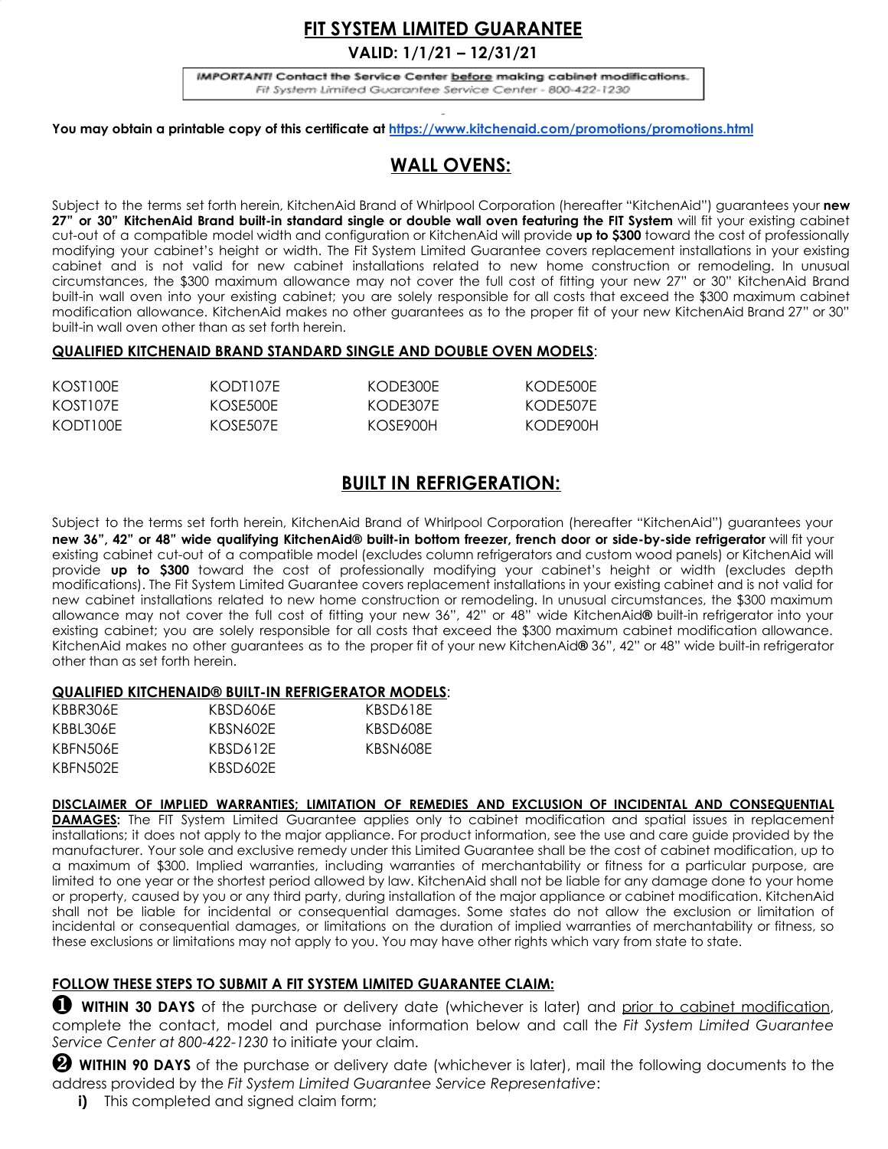# **FIT SYSTEM LIMITED GUARANTEE**

**VALID: 1/1/21 – 12/31/21**

IMPORTANT! Contact the Service Center before making cabinet modifications. Fit System Limited Guarantee Service Center - 800-422-1230

**You may obtain a printable copy of this certificate at <https://www.kitchenaid.com/promotions/promotions.html>**

# **WALL OVENS:**

Subject to the terms set forth herein, KitchenAid Brand of Whirlpool Corporation (hereafter "KitchenAid") guarantees your **new** 27" or 30" KitchenAid Brand built-in standard single or double wall oven featuring the FIT System will fit your existing cabinet cut-out of a compatible model width and configuration or KitchenAid will provide **up to \$300** toward the cost of professionally modifying your cabinet's height or width. The Fit System Limited Guarantee covers replacement installations in your existing cabinet and is not valid for new cabinet installations related to new home construction or remodeling. In unusual circumstances, the \$300 maximum allowance may not cover the full cost of fitting your new 27" or 30" KitchenAid Brand built-in wall oven into your existing cabinet; you are solely responsible for all costs that exceed the \$300 maximum cabinet modification allowance. KitchenAid makes no other guarantees as to the proper fit of your new KitchenAid Brand 27" or 30" built-in wall oven other than as set forth herein.

### **QUALIFIED KITCHENAID BRAND STANDARD SINGLE AND DOUBLE OVEN MODELS**:

| KOST100F | KODT107E | KODE300E | KODE500E |
|----------|----------|----------|----------|
| KOST107F | KOSE500E | KODE307E | KODE507E |
| KODT100E | KOSE507E | KOSE900H | KODF900H |

## **BUILT IN REFRIGERATION:**

Subject to the terms set forth herein, KitchenAid Brand of Whirlpool Corporation (hereafter "KitchenAid") guarantees your new 36", 42" or 48" wide qualifying KitchenAid® built-in bottom freezer, french door or side-by-side refrigerator will fit your existing cabinet cut-out of a compatible model (excludes column refrigerators and custom wood panels) or KitchenAid will provide **up to \$300** toward the cost of professionally modifying your cabinet's height or width (excludes depth modifications). The Fit System Limited Guarantee covers replacement installations in your existing cabinet and is not valid for new cabinet installations related to new home construction or remodeling. In unusual circumstances, the \$300 maximum allowance may not cover the full cost of fitting your new 36", 42" or 48" wide KitchenAid**®** built-in refrigerator into your existing cabinet; you are solely responsible for all costs that exceed the \$300 maximum cabinet modification allowance. KitchenAid makes no other guarantees as to the proper fit of your new KitchenAid**®** 36", 42" or 48" wide built-in refrigerator other than as set forth herein.

### **QUALIFIED KITCHENAID® BUILT-IN REFRIGERATOR MODELS**:

| KBBR306E | KBSD606F | KBSD618E |
|----------|----------|----------|
| KBBL306E | KBSN602F | KBSD608E |
| KBFN506F | KBSD612F | KBSN608F |
| KBFN502E | KBSD602F |          |

### **DISCLAIMER OF IMPLIED WARRANTIES; LIMITATION OF REMEDIES AND EXCLUSION OF INCIDENTAL AND CONSEQUENTIAL**

**DAMAGES:** The FIT System Limited Guarantee applies only to cabinet modification and spatial issues in replacement installations; it does not apply to the major appliance. For product information, see the use and care guide provided by the manufacturer. Your sole and exclusive remedy under this Limited Guarantee shall be the cost of cabinet modification, up to a maximum of \$300. Implied warranties, including warranties of merchantability or fitness for a particular purpose, are limited to one year or the shortest period allowed by law. KitchenAid shall not be liable for any damage done to your home or property, caused by you or any third party, during installation of the major appliance or cabinet modification. KitchenAid shall not be liable for incidental or consequential damages. Some states do not allow the exclusion or limitation of incidental or consequential damages, or limitations on the duration of implied warranties of merchantability or fitness, so these exclusions or limitations may not apply to you. You may have other rights which vary from state to state.

### **FOLLOW THESE STEPS TO SUBMIT A FIT SYSTEM LIMITED GUARANTEE CLAIM:**

❶ **WITHIN 30 DAYS** of the purchase or delivery date (whichever is later) and prior to cabinet modification, complete the contact, model and purchase information below and call the *Fit System Limited Guarantee Service Center at 800-422-1230* to initiate your claim.

❷ **WITHIN 90 DAYS** of the purchase or delivery date (whichever is later), mail the following documents to the address provided by the *Fit System Limited Guarantee Service Representative*:

**i)** This completed and signed claim form;